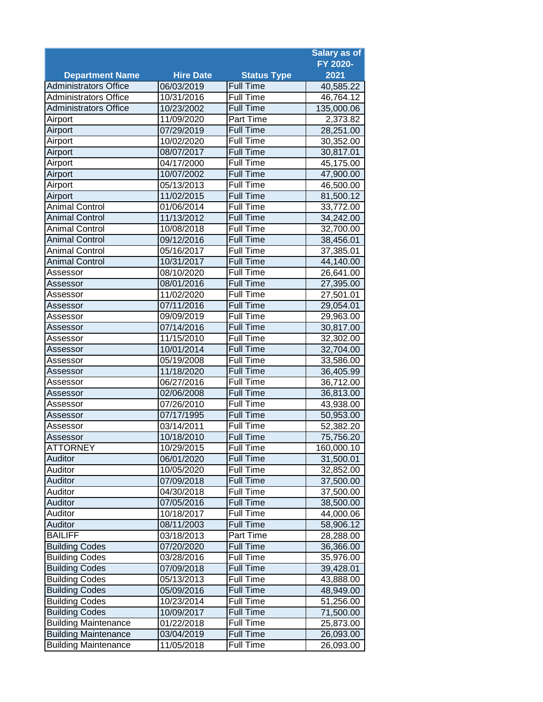|                              |                  |                    | <b>Salary as of</b> |
|------------------------------|------------------|--------------------|---------------------|
|                              |                  |                    | FY 2020-            |
| <b>Department Name</b>       | <b>Hire Date</b> | <b>Status Type</b> | 2021                |
| <b>Administrators Office</b> | 06/03/2019       | <b>Full Time</b>   | 40,585.22           |
| <b>Administrators Office</b> | 10/31/2016       | <b>Full Time</b>   | 46,764.12           |
| <b>Administrators Office</b> | 10/23/2002       | <b>Full Time</b>   | 135,000.06          |
| Airport                      | 11/09/2020       | Part Time          | 2,373.82            |
| Airport                      | 07/29/2019       | <b>Full Time</b>   | 28,251.00           |
| Airport                      | 10/02/2020       | <b>Full Time</b>   | 30,352.00           |
| Airport                      | 08/07/2017       | <b>Full Time</b>   | 30,817.01           |
| Airport                      | 04/17/2000       | Full Time          | 45,175.00           |
| Airport                      | 10/07/2002       | <b>Full Time</b>   | 47,900.00           |
| Airport                      | 05/13/2013       | <b>Full Time</b>   | 46,500.00           |
| Airport                      | 11/02/2015       | <b>Full Time</b>   | 81,500.12           |
| <b>Animal Control</b>        | 01/06/2014       | <b>Full Time</b>   | 33,772.00           |
| <b>Animal Control</b>        | 11/13/2012       | <b>Full Time</b>   | 34,242.00           |
| <b>Animal Control</b>        | 10/08/2018       | <b>Full Time</b>   | 32,700.00           |
| <b>Animal Control</b>        | 09/12/2016       | <b>Full Time</b>   | 38,456.01           |
| <b>Animal Control</b>        | 05/16/2017       | <b>Full Time</b>   | 37,385.01           |
| <b>Animal Control</b>        | 10/31/2017       | <b>Full Time</b>   | 44,140.00           |
| Assessor                     | 08/10/2020       | <b>Full Time</b>   | 26,641.00           |
| Assessor                     | 08/01/2016       | <b>Full Time</b>   | 27,395.00           |
| Assessor                     | 11/02/2020       | <b>Full Time</b>   | 27,501.01           |
| Assessor                     | 07/11/2016       | <b>Full Time</b>   | 29,054.01           |
| Assessor                     | 09/09/2019       | <b>Full Time</b>   | 29,963.00           |
| Assessor                     | 07/14/2016       | <b>Full Time</b>   | 30,817.00           |
| Assessor                     | 11/15/2010       | <b>Full Time</b>   | 32,302.00           |
| Assessor                     | 10/01/2014       | <b>Full Time</b>   | 32,704.00           |
| Assessor                     | 05/19/2008       | <b>Full Time</b>   | 33,586.00           |
| Assessor                     | 11/18/2020       | <b>Full Time</b>   | 36,405.99           |
| Assessor                     | 06/27/2016       | <b>Full Time</b>   | 36,712.00           |
| Assessor                     | 02/06/2008       | <b>Full Time</b>   | 36,813.00           |
| Assessor                     | 07/26/2010       | <b>Full Time</b>   | 43,938.00           |
| Assessor                     | 07/17/1995       | <b>Full Time</b>   | 50,953.00           |
| Assessor                     | 03/14/2011       | <b>Full Time</b>   | 52,382.20           |
| Assessor                     | 10/18/2010       | <b>Full Time</b>   | 75,756.20           |
| <b>ATTORNEY</b>              | 10/29/2015       | <b>Full Time</b>   | 160,000.10          |
| Auditor                      | 06/01/2020       | Full Time          | 31,500.01           |
| Auditor                      | 10/05/2020       | Full Time          | 32,852.00           |
| Auditor                      | 07/09/2018       | Full Time          | 37,500.00           |
| Auditor                      | 04/30/2018       | Full Time          | 37,500.00           |
| Auditor                      | 07/05/2016       | Full Time          | 38,500.00           |
| Auditor                      | 10/18/2017       | Full Time          | 44,000.06           |
| Auditor                      | 08/11/2003       | Full Time          | 58,906.12           |
| <b>BAILIFF</b>               | 03/18/2013       | Part Time          | 28,288.00           |
| <b>Building Codes</b>        | 07/20/2020       | Full Time          | 36,366.00           |
| <b>Building Codes</b>        | 03/28/2016       | Full Time          | 35,976.00           |
| <b>Building Codes</b>        | 07/09/2018       | Full Time          | 39,428.01           |
| <b>Building Codes</b>        | 05/13/2013       | Full Time          | 43,888.00           |
| <b>Building Codes</b>        | 05/09/2016       | <b>Full Time</b>   | 48,949.00           |
| <b>Building Codes</b>        | 10/23/2014       | Full Time          | 51,256.00           |
| <b>Building Codes</b>        | 10/09/2017       | <b>Full Time</b>   | 71,500.00           |
| <b>Building Maintenance</b>  | 01/22/2018       | Full Time          | 25,873.00           |
| <b>Building Maintenance</b>  | 03/04/2019       | <b>Full Time</b>   | 26,093.00           |
| <b>Building Maintenance</b>  | 11/05/2018       | Full Time          | 26,093.00           |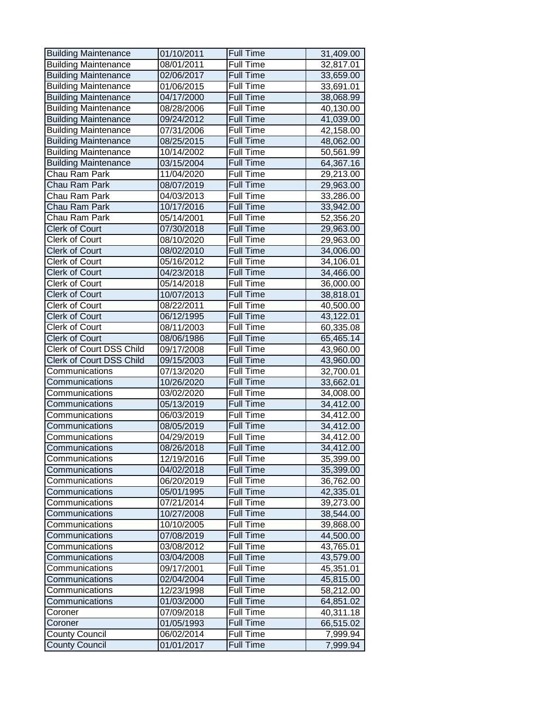| <b>Building Maintenance</b> | 01/10/2011 | Full Time        | 31,409.00 |
|-----------------------------|------------|------------------|-----------|
| <b>Building Maintenance</b> | 08/01/2011 | <b>Full Time</b> | 32,817.01 |
| <b>Building Maintenance</b> | 02/06/2017 | <b>Full Time</b> | 33,659.00 |
| <b>Building Maintenance</b> | 01/06/2015 | Full Time        | 33,691.01 |
| <b>Building Maintenance</b> | 04/17/2000 | <b>Full Time</b> | 38,068.99 |
| <b>Building Maintenance</b> | 08/28/2006 | Full Time        | 40,130.00 |
| <b>Building Maintenance</b> | 09/24/2012 | <b>Full Time</b> | 41,039.00 |
| <b>Building Maintenance</b> | 07/31/2006 | <b>Full Time</b> | 42,158.00 |
| <b>Building Maintenance</b> | 08/25/2015 | <b>Full Time</b> | 48,062.00 |
| <b>Building Maintenance</b> | 10/14/2002 | Full Time        | 50,561.99 |
| <b>Building Maintenance</b> | 03/15/2004 | <b>Full Time</b> | 64,367.16 |
| Chau Ram Park               | 11/04/2020 | Full Time        | 29,213.00 |
| Chau Ram Park               | 08/07/2019 | <b>Full Time</b> | 29,963.00 |
| Chau Ram Park               | 04/03/2013 | <b>Full Time</b> | 33,286.00 |
| Chau Ram Park               | 10/17/2016 | <b>Full Time</b> | 33,942.00 |
| Chau Ram Park               | 05/14/2001 | <b>Full Time</b> | 52,356.20 |
| <b>Clerk of Court</b>       | 07/30/2018 | <b>Full Time</b> | 29,963.00 |
| <b>Clerk of Court</b>       | 08/10/2020 | <b>Full Time</b> | 29,963.00 |
| <b>Clerk of Court</b>       | 08/02/2010 | <b>Full Time</b> | 34,006.00 |
| <b>Clerk of Court</b>       | 05/16/2012 | Full Time        | 34,106.01 |
| <b>Clerk of Court</b>       | 04/23/2018 | <b>Full Time</b> | 34,466.00 |
| Clerk of Court              | 05/14/2018 | <b>Full Time</b> | 36,000.00 |
| <b>Clerk of Court</b>       | 10/07/2013 | <b>Full Time</b> | 38,818.01 |
| <b>Clerk of Court</b>       | 08/22/2011 | <b>Full Time</b> | 40,500.00 |
| <b>Clerk of Court</b>       | 06/12/1995 | <b>Full Time</b> | 43,122.01 |
| <b>Clerk of Court</b>       | 08/11/2003 | <b>Full Time</b> | 60,335.08 |
| <b>Clerk of Court</b>       | 08/06/1986 | <b>Full Time</b> | 65,465.14 |
| Clerk of Court DSS Child    | 09/17/2008 | Full Time        | 43,960.00 |
| Clerk of Court DSS Child    | 09/15/2003 | <b>Full Time</b> | 43,960.00 |
| Communications              | 07/13/2020 | <b>Full Time</b> | 32,700.01 |
| Communications              | 10/26/2020 | <b>Full Time</b> | 33,662.01 |
| Communications              | 03/02/2020 | <b>Full Time</b> | 34,008.00 |
| Communications              | 05/13/2019 | <b>Full Time</b> | 34,412.00 |
| Communications              | 06/03/2019 | Full Time        | 34,412.00 |
| Communications              | 08/05/2019 | <b>Full Time</b> | 34,412.00 |
| Communications              | 04/29/2019 | Full Time        | 34,412.00 |
| Communications              | 08/26/2018 | <b>Full Time</b> | 34,412.00 |
| Communications              | 12/19/2016 | Full Time        | 35,399.00 |
| Communications              | 04/02/2018 | <b>Full Time</b> | 35,399.00 |
| Communications              | 06/20/2019 | Full Time        | 36,762.00 |
| Communications              | 05/01/1995 | <b>Full Time</b> | 42,335.01 |
| Communications              | 07/21/2014 | Full Time        | 39,273.00 |
| Communications              | 10/27/2008 | <b>Full Time</b> | 38,544.00 |
| Communications              | 10/10/2005 | Full Time        | 39,868.00 |
| Communications              | 07/08/2019 | <b>Full Time</b> | 44,500.00 |
| Communications              | 03/08/2012 | <b>Full Time</b> | 43,765.01 |
| Communications              | 03/04/2008 | <b>Full Time</b> | 43,579.00 |
| Communications              | 09/17/2001 | Full Time        | 45,351.01 |
| Communications              | 02/04/2004 | <b>Full Time</b> | 45,815.00 |
| Communications              | 12/23/1998 | Full Time        | 58,212.00 |
| Communications              | 01/03/2000 | Full Time        | 64,851.02 |
| Coroner                     | 07/09/2018 | Full Time        | 40,311.18 |
| Coroner                     | 01/05/1993 | <b>Full Time</b> | 66,515.02 |
| <b>County Council</b>       | 06/02/2014 | Full Time        | 7,999.94  |
| <b>County Council</b>       | 01/01/2017 | <b>Full Time</b> | 7,999.94  |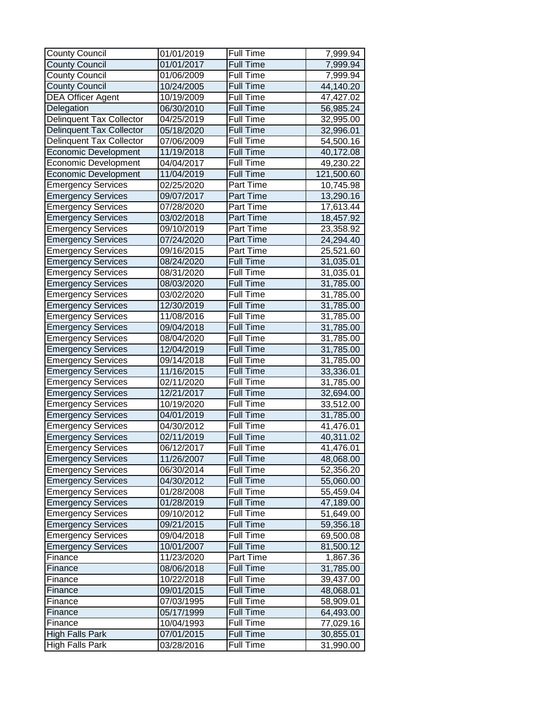| <b>County Council</b>           | 01/01/2019 | Full Time        | 7,999.94   |
|---------------------------------|------------|------------------|------------|
| <b>County Council</b>           | 01/01/2017 | <b>Full Time</b> | 7,999.94   |
| <b>County Council</b>           | 01/06/2009 | Full Time        | 7,999.94   |
| <b>County Council</b>           | 10/24/2005 | <b>Full Time</b> | 44,140.20  |
| <b>DEA Officer Agent</b>        | 10/19/2009 | <b>Full Time</b> | 47,427.02  |
| Delegation                      | 06/30/2010 | <b>Full Time</b> | 56,985.24  |
| <b>Delinquent Tax Collector</b> | 04/25/2019 | Full Time        | 32,995.00  |
| Delinquent Tax Collector        | 05/18/2020 | <b>Full Time</b> | 32,996.01  |
| Delinquent Tax Collector        | 07/06/2009 | Full Time        | 54,500.16  |
| <b>Economic Development</b>     | 11/19/2018 | <b>Full Time</b> | 40,172.08  |
| Economic Development            | 04/04/2017 | Full Time        | 49,230.22  |
| <b>Economic Development</b>     | 11/04/2019 | <b>Full Time</b> | 121,500.60 |
| <b>Emergency Services</b>       | 02/25/2020 | Part Time        | 10,745.98  |
| <b>Emergency Services</b>       | 09/07/2017 | Part Time        | 13,290.16  |
| <b>Emergency Services</b>       | 07/28/2020 | Part Time        | 17,613.44  |
| <b>Emergency Services</b>       | 03/02/2018 | Part Time        | 18,457.92  |
| Emergency Services              | 09/10/2019 | Part Time        | 23,358.92  |
| <b>Emergency Services</b>       | 07/24/2020 | Part Time        | 24,294.40  |
| <b>Emergency Services</b>       | 09/16/2015 | Part Time        | 25,521.60  |
| <b>Emergency Services</b>       | 08/24/2020 | <b>Full Time</b> | 31,035.01  |
| <b>Emergency Services</b>       | 08/31/2020 | Full Time        | 31,035.01  |
| <b>Emergency Services</b>       | 08/03/2020 | <b>Full Time</b> | 31,785.00  |
| <b>Emergency Services</b>       | 03/02/2020 | Full Time        | 31,785.00  |
| <b>Emergency Services</b>       | 12/30/2019 | <b>Full Time</b> | 31,785.00  |
| <b>Emergency Services</b>       | 11/08/2016 | <b>Full Time</b> | 31,785.00  |
| <b>Emergency Services</b>       | 09/04/2018 | <b>Full Time</b> | 31,785.00  |
| <b>Emergency Services</b>       | 08/04/2020 | <b>Full Time</b> | 31,785.00  |
| <b>Emergency Services</b>       | 12/04/2019 | <b>Full Time</b> | 31,785.00  |
| <b>Emergency Services</b>       | 09/14/2018 | Full Time        | 31,785.00  |
| <b>Emergency Services</b>       | 11/16/2015 | <b>Full Time</b> | 33,336.01  |
| <b>Emergency Services</b>       | 02/11/2020 | Full Time        | 31,785.00  |
| <b>Emergency Services</b>       | 12/21/2017 | <b>Full Time</b> | 32,694.00  |
| Emergency Services              | 10/19/2020 | Full Time        | 33,512.00  |
| <b>Emergency Services</b>       | 04/01/2019 | <b>Full Time</b> | 31,785.00  |
| <b>Emergency Services</b>       | 04/30/2012 | Full Time        | 41,476.01  |
| <b>Emergency Services</b>       | 02/11/2019 | <b>Full Time</b> | 40,311.02  |
| <b>Emergency Services</b>       | 06/12/2017 | Full Time        | 41,476.01  |
| <b>Emergency Services</b>       | 11/26/2007 | Full Time        | 48,068.00  |
| <b>Emergency Services</b>       | 06/30/2014 | Full Time        | 52,356.20  |
| <b>Emergency Services</b>       | 04/30/2012 | Full Time        | 55,060.00  |
| <b>Emergency Services</b>       | 01/28/2008 | Full Time        | 55,459.04  |
| <b>Emergency Services</b>       | 01/28/2019 | <b>Full Time</b> | 47,189.00  |
| <b>Emergency Services</b>       | 09/10/2012 | Full Time        | 51,649.00  |
| <b>Emergency Services</b>       | 09/21/2015 | <b>Full Time</b> | 59,356.18  |
| <b>Emergency Services</b>       | 09/04/2018 | Full Time        | 69,500.08  |
| <b>Emergency Services</b>       | 10/01/2007 | <b>Full Time</b> | 81,500.12  |
| Finance                         | 11/23/2020 | Part Time        | 1,867.36   |
| Finance                         | 08/06/2018 | Full Time        | 31,785.00  |
| Finance                         | 10/22/2018 | Full Time        | 39,437.00  |
| Finance                         | 09/01/2015 | Full Time        | 48,068.01  |
| Finance                         | 07/03/1995 | Full Time        | 58,909.01  |
| Finance                         | 05/17/1999 | Full Time        | 64,493.00  |
| Finance                         | 10/04/1993 | Full Time        | 77,029.16  |
| <b>High Falls Park</b>          | 07/01/2015 | <b>Full Time</b> | 30,855.01  |
| <b>High Falls Park</b>          | 03/28/2016 | Full Time        | 31,990.00  |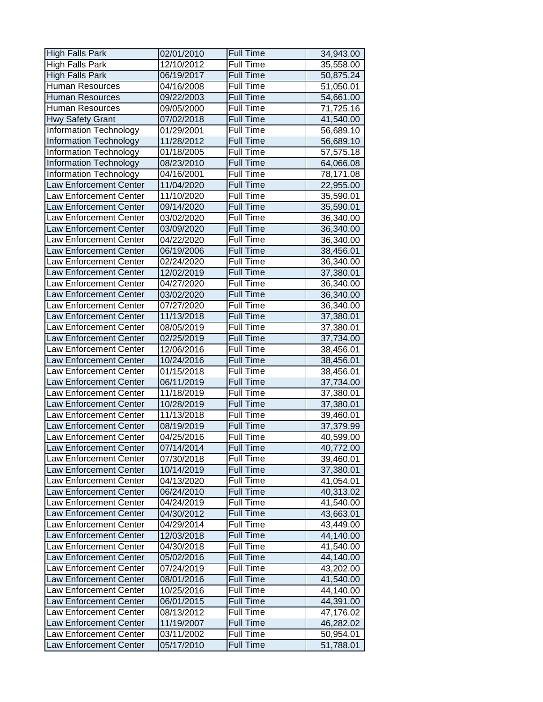| <b>High Falls Park</b>        | 02/01/2010 | <b>Full Time</b> | 34,943.00 |
|-------------------------------|------------|------------------|-----------|
| <b>High Falls Park</b>        | 12/10/2012 | <b>Full Time</b> | 35,558.00 |
| <b>High Falls Park</b>        | 06/19/2017 | <b>Full Time</b> | 50,875.24 |
| <b>Human Resources</b>        | 04/16/2008 | Full Time        | 51,050.01 |
| <b>Human Resources</b>        | 09/22/2003 | <b>Full Time</b> | 54,661.00 |
| Human Resources               | 09/05/2000 | Full Time        | 71,725.16 |
| <b>Hwy Safety Grant</b>       | 07/02/2018 | <b>Full Time</b> | 41,540.00 |
| Information Technology        | 01/29/2001 | Full Time        | 56,689.10 |
| <b>Information Technology</b> | 11/28/2012 | <b>Full Time</b> | 56,689.10 |
| <b>Information Technology</b> | 01/18/2005 | Full Time        | 57,575.18 |
| Information Technology        | 08/23/2010 | <b>Full Time</b> | 64,066.08 |
| <b>Information Technology</b> | 04/16/2001 | Full Time        | 78,171.08 |
| Law Enforcement Center        | 11/04/2020 | <b>Full Time</b> | 22,955.00 |
| Law Enforcement Center        | 11/10/2020 | <b>Full Time</b> | 35,590.01 |
| Law Enforcement Center        | 09/14/2020 | <b>Full Time</b> | 35,590.01 |
| <b>Law Enforcement Center</b> | 03/02/2020 | <b>Full Time</b> | 36,340.00 |
| Law Enforcement Center        | 03/09/2020 | <b>Full Time</b> | 36,340.00 |
| <b>Law Enforcement Center</b> | 04/22/2020 | <b>Full Time</b> | 36,340.00 |
| Law Enforcement Center        | 06/19/2006 | <b>Full Time</b> | 38,456.01 |
| Law Enforcement Center        | 02/24/2020 | Full Time        | 36,340.00 |
| Law Enforcement Center        | 12/02/2019 | <b>Full Time</b> | 37,380.01 |
| Law Enforcement Center        | 04/27/2020 | <b>Full Time</b> | 36,340.00 |
| <b>Law Enforcement Center</b> | 03/02/2020 | <b>Full Time</b> | 36,340.00 |
| Law Enforcement Center        | 07/27/2020 | <b>Full Time</b> | 36,340.00 |
| Law Enforcement Center        | 11/13/2018 | <b>Full Time</b> | 37,380.01 |
| Law Enforcement Center        | 08/05/2019 | <b>Full Time</b> | 37,380.01 |
| Law Enforcement Center        | 02/25/2019 | <b>Full Time</b> | 37,734.00 |
| Law Enforcement Center        | 12/06/2016 | Full Time        | 38,456.01 |
| <b>Law Enforcement Center</b> | 10/24/2016 | <b>Full Time</b> | 38,456.01 |
| Law Enforcement Center        | 01/15/2018 | <b>Full Time</b> | 38,456.01 |
| <b>Law Enforcement Center</b> | 06/11/2019 | <b>Full Time</b> | 37,734.00 |
| <b>Law Enforcement Center</b> | 11/18/2019 | <b>Full Time</b> | 37,380.01 |
| <b>Law Enforcement Center</b> | 10/28/2019 | <b>Full Time</b> | 37,380.01 |
| Law Enforcement Center        | 11/13/2018 | Full Time        | 39,460.01 |
| Law Enforcement Center        | 08/19/2019 | <b>Full Time</b> | 37,379.99 |
| Law Enforcement Center        | 04/25/2016 | Full Time        | 40,599.00 |
| <b>Law Enforcement Center</b> | 07/14/2014 | <b>Full Time</b> | 40,772.00 |
| <b>Law Enforcement Center</b> | 07/30/2018 | Full Time        | 39,460.01 |
| <b>Law Enforcement Center</b> | 10/14/2019 | <b>Full Time</b> | 37,380.01 |
| Law Enforcement Center        | 04/13/2020 | <b>Full Time</b> | 41,054.01 |
| Law Enforcement Center        | 06/24/2010 | <b>Full Time</b> | 40,313.02 |
| <b>Law Enforcement Center</b> | 04/24/2019 | Full Time        | 41,540.00 |
| Law Enforcement Center        | 04/30/2012 | <b>Full Time</b> | 43,663.01 |
| Law Enforcement Center        | 04/29/2014 | Full Time        | 43,449.00 |
| <b>Law Enforcement Center</b> | 12/03/2018 | <b>Full Time</b> | 44,140.00 |
| Law Enforcement Center        | 04/30/2018 | Full Time        | 41,540.00 |
| Law Enforcement Center        | 05/02/2016 | Full Time        | 44,140.00 |
| <b>Law Enforcement Center</b> | 07/24/2019 | Full Time        | 43,202.00 |
| <b>Law Enforcement Center</b> | 08/01/2016 | <b>Full Time</b> | 41,540.00 |
| <b>Law Enforcement Center</b> | 10/25/2016 | Full Time        | 44,140.00 |
| Law Enforcement Center        | 06/01/2015 | <b>Full Time</b> | 44,391.00 |
| Law Enforcement Center        | 08/13/2012 | Full Time        | 47,176.02 |
| Law Enforcement Center        | 11/19/2007 | <b>Full Time</b> | 46,282.02 |
| Law Enforcement Center        | 03/11/2002 | Full Time        | 50,954.01 |
| Law Enforcement Center        | 05/17/2010 | <b>Full Time</b> | 51,788.01 |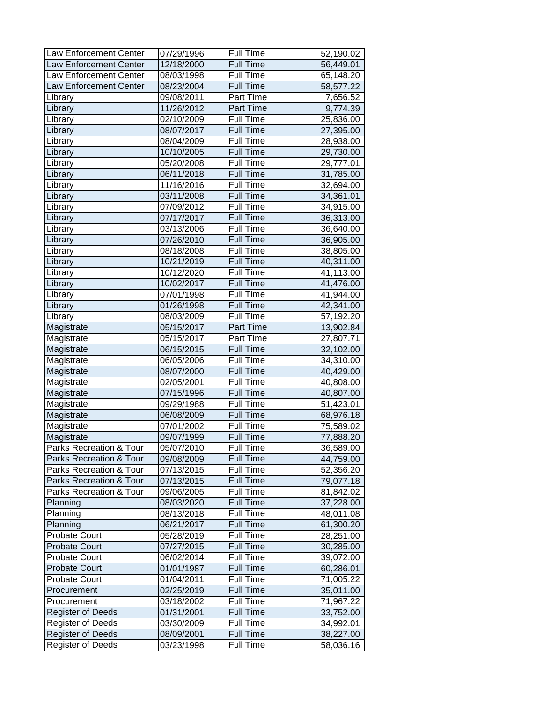| Law Enforcement Center             | 07/29/1996 | Full Time        | 52,190.02 |
|------------------------------------|------------|------------------|-----------|
| <b>Law Enforcement Center</b>      | 12/18/2000 | <b>Full Time</b> | 56,449.01 |
| <b>Law Enforcement Center</b>      | 08/03/1998 | Full Time        | 65,148.20 |
| <b>Law Enforcement Center</b>      | 08/23/2004 | <b>Full Time</b> | 58,577.22 |
| Library                            | 09/08/2011 | Part Time        | 7,656.52  |
| Library                            | 11/26/2012 | Part Time        | 9,774.39  |
| Library                            | 02/10/2009 | <b>Full Time</b> | 25,836.00 |
| Library                            | 08/07/2017 | <b>Full Time</b> | 27,395.00 |
| Library                            | 08/04/2009 | Full Time        | 28,938.00 |
| Library                            | 10/10/2005 | Full Time        | 29,730.00 |
| Library                            | 05/20/2008 | Full Time        | 29,777.01 |
| Library                            | 06/11/2018 | <b>Full Time</b> | 31,785.00 |
| Library                            | 11/16/2016 | Full Time        | 32,694.00 |
| Library                            | 03/11/2008 | <b>Full Time</b> | 34,361.01 |
| Library                            | 07/09/2012 | Full Time        | 34,915.00 |
| Library                            | 07/17/2017 | <b>Full Time</b> | 36,313.00 |
| Library                            | 03/13/2006 | Full Time        | 36,640.00 |
| Library                            | 07/26/2010 | <b>Full Time</b> | 36,905.00 |
| Library                            | 08/18/2008 | <b>Full Time</b> | 38,805.00 |
| Library                            | 10/21/2019 | <b>Full Time</b> | 40,311.00 |
| Library                            | 10/12/2020 | <b>Full Time</b> | 41,113.00 |
| Library                            | 10/02/2017 | Full Time        | 41,476.00 |
| Library                            | 07/01/1998 | <b>Full Time</b> | 41,944.00 |
| Library                            | 01/26/1998 | <b>Full Time</b> | 42,341.00 |
| Library                            | 08/03/2009 | <b>Full Time</b> | 57,192.20 |
| Magistrate                         | 05/15/2017 | <b>Part Time</b> | 13,902.84 |
| Magistrate                         | 05/15/2017 | Part Time        | 27,807.71 |
| Magistrate                         | 06/15/2015 | <b>Full Time</b> | 32,102.00 |
| Magistrate                         | 06/05/2006 | Full Time        | 34,310.00 |
| Magistrate                         | 08/07/2000 | <b>Full Time</b> | 40,429.00 |
| Magistrate                         | 02/05/2001 | Full Time        | 40,808.00 |
| Magistrate                         | 07/15/1996 | <b>Full Time</b> | 40,807.00 |
| Magistrate                         | 09/29/1988 | Full Time        | 51,423.01 |
| Magistrate                         | 06/08/2009 | <b>Full Time</b> | 68,976.18 |
| Magistrate                         | 07/01/2002 | Full Time        | 75,589.02 |
| Magistrate                         | 09/07/1999 | <b>Full Time</b> | 77,888.20 |
| Parks Recreation & Tour            | 05/07/2010 | Full Time        | 36,589.00 |
| Parks Recreation & Tour            | 09/08/2009 | Full Time        | 44,759.00 |
| Parks Recreation & Tour            | 07/13/2015 | Full Time        | 52,356.20 |
| <b>Parks Recreation &amp; Tour</b> | 07/13/2015 | Full Time        | 79,077.18 |
| Parks Recreation & Tour            | 09/06/2005 | Full Time        | 81,842.02 |
| Planning                           | 08/03/2020 | <b>Full Time</b> | 37,228.00 |
| Planning                           | 08/13/2018 | Full Time        | 48,011.08 |
| Planning                           | 06/21/2017 | Full Time        | 61,300.20 |
| <b>Probate Court</b>               | 05/28/2019 | Full Time        | 28,251.00 |
| <b>Probate Court</b>               | 07/27/2015 | <b>Full Time</b> | 30,285.00 |
| <b>Probate Court</b>               | 06/02/2014 | Full Time        | 39,072.00 |
| <b>Probate Court</b>               | 01/01/1987 | Full Time        | 60,286.01 |
| <b>Probate Court</b>               | 01/04/2011 | Full Time        | 71,005.22 |
| Procurement                        | 02/25/2019 | Full Time        | 35,011.00 |
| Procurement                        | 03/18/2002 | Full Time        | 71,967.22 |
| <b>Register of Deeds</b>           | 01/31/2001 | Full Time        | 33,752.00 |
| <b>Register of Deeds</b>           | 03/30/2009 | Full Time        | 34,992.01 |
| <b>Register of Deeds</b>           | 08/09/2001 | <b>Full Time</b> | 38,227.00 |
| <b>Register of Deeds</b>           | 03/23/1998 | Full Time        | 58,036.16 |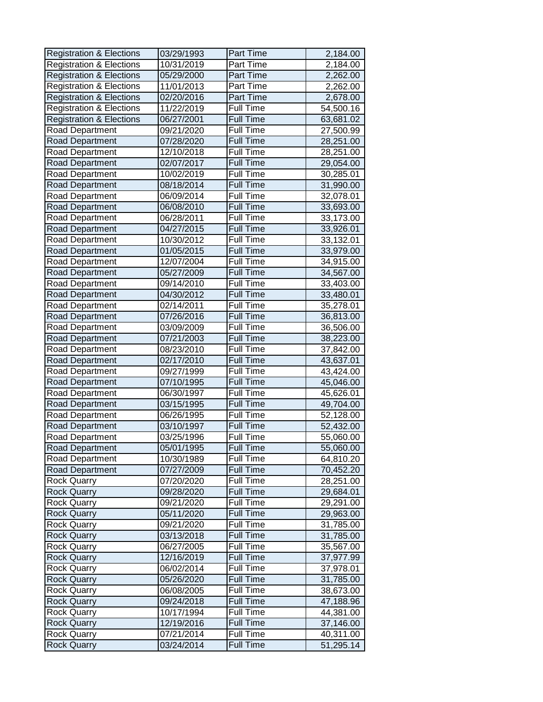| <b>Registration &amp; Elections</b> | 03/29/1993 | <b>Part Time</b> | 2,184.00  |
|-------------------------------------|------------|------------------|-----------|
| <b>Registration &amp; Elections</b> | 10/31/2019 | Part Time        | 2,184.00  |
| <b>Registration &amp; Elections</b> | 05/29/2000 | Part Time        | 2,262.00  |
| <b>Registration &amp; Elections</b> | 11/01/2013 | Part Time        | 2,262.00  |
| <b>Registration &amp; Elections</b> | 02/20/2016 | Part Time        | 2,678.00  |
| <b>Registration &amp; Elections</b> | 11/22/2019 | Full Time        | 54,500.16 |
| <b>Registration &amp; Elections</b> | 06/27/2001 | <b>Full Time</b> | 63,681.02 |
| Road Department                     | 09/21/2020 | Full Time        | 27,500.99 |
| Road Department                     | 07/28/2020 | <b>Full Time</b> | 28,251.00 |
| Road Department                     | 12/10/2018 | Full Time        | 28,251.00 |
| Road Department                     | 02/07/2017 | <b>Full Time</b> | 29,054.00 |
| Road Department                     | 10/02/2019 | Full Time        | 30,285.01 |
| <b>Road Department</b>              | 08/18/2014 | <b>Full Time</b> | 31,990.00 |
| Road Department                     | 06/09/2014 | Full Time        | 32,078.01 |
| Road Department                     | 06/08/2010 | <b>Full Time</b> | 33,693.00 |
| Road Department                     | 06/28/2011 | Full Time        | 33,173.00 |
| Road Department                     | 04/27/2015 | <b>Full Time</b> | 33,926.01 |
| Road Department                     | 10/30/2012 | <b>Full Time</b> | 33,132.01 |
| Road Department                     | 01/05/2015 | <b>Full Time</b> | 33,979.00 |
| Road Department                     | 12/07/2004 | Full Time        | 34,915.00 |
| Road Department                     | 05/27/2009 | Full Time        | 34,567.00 |
| Road Department                     | 09/14/2010 | Full Time        | 33,403.00 |
| Road Department                     | 04/30/2012 | <b>Full Time</b> | 33,480.01 |
| Road Department                     | 02/14/2011 | Full Time        | 35,278.01 |
| Road Department                     | 07/26/2016 | <b>Full Time</b> | 36,813.00 |
| Road Department                     | 03/09/2009 | Full Time        | 36,506.00 |
| Road Department                     | 07/21/2003 | <b>Full Time</b> | 38,223.00 |
| Road Department                     | 08/23/2010 | Full Time        | 37,842.00 |
| Road Department                     | 02/17/2010 | <b>Full Time</b> | 43,637.01 |
| Road Department                     | 09/27/1999 | Full Time        | 43,424.00 |
| Road Department                     | 07/10/1995 | <b>Full Time</b> | 45,046.00 |
| Road Department                     | 06/30/1997 | Full Time        | 45,626.01 |
| Road Department                     | 03/15/1995 | <b>Full Time</b> | 49,704.00 |
| Road Department                     | 06/26/1995 | Full Time        | 52,128.00 |
| Road Department                     | 03/10/1997 | <b>Full Time</b> | 52,432.00 |
| Road Department                     | 03/25/1996 | Full Time        | 55,060.00 |
| Road Department                     | 05/01/1995 | <b>Full Time</b> | 55,060.00 |
| Road Department                     | 10/30/1989 | Full Time        | 64,810.20 |
| Road Department                     | 07/27/2009 | Full Time        | 70,452.20 |
| <b>Rock Quarry</b>                  | 07/20/2020 | Full Time        | 28,251.00 |
| <b>Rock Quarry</b>                  | 09/28/2020 | Full Time        | 29,684.01 |
| <b>Rock Quarry</b>                  | 09/21/2020 | Full Time        | 29,291.00 |
| <b>Rock Quarry</b>                  | 05/11/2020 | Full Time        | 29,963.00 |
| Rock Quarry                         | 09/21/2020 | Full Time        | 31,785.00 |
| Rock Quarry                         | 03/13/2018 | <b>Full Time</b> | 31,785.00 |
| <b>Rock Quarry</b>                  | 06/27/2005 | Full Time        | 35,567.00 |
| <b>Rock Quarry</b>                  | 12/16/2019 | <b>Full Time</b> | 37,977.99 |
| <b>Rock Quarry</b>                  | 06/02/2014 | Full Time        | 37,978.01 |
| <b>Rock Quarry</b>                  | 05/26/2020 | <b>Full Time</b> | 31,785.00 |
| <b>Rock Quarry</b>                  | 06/08/2005 | <b>Full Time</b> | 38,673.00 |
| <b>Rock Quarry</b>                  | 09/24/2018 | Full Time        | 47,188.96 |
| <b>Rock Quarry</b>                  | 10/17/1994 | Full Time        | 44,381.00 |
| <b>Rock Quarry</b>                  | 12/19/2016 | Full Time        | 37,146.00 |
| <b>Rock Quarry</b>                  | 07/21/2014 | Full Time        | 40,311.00 |
| <b>Rock Quarry</b>                  | 03/24/2014 | <b>Full Time</b> | 51,295.14 |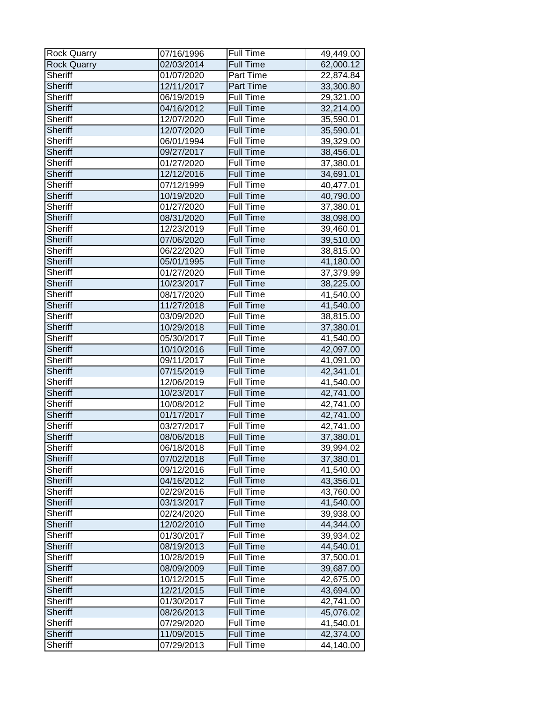| Rock Quarry        | 07/16/1996 | Full Time        | 49,449.00                |
|--------------------|------------|------------------|--------------------------|
| <b>Rock Quarry</b> | 02/03/2014 | <b>Full Time</b> | 62,000.12                |
| Sheriff            | 01/07/2020 | Part Time        | 22,874.84                |
| Sheriff            | 12/11/2017 | Part Time        | 33,300.80                |
| <b>Sheriff</b>     | 06/19/2019 | <b>Full Time</b> | 29,321.00                |
| <b>Sheriff</b>     | 04/16/2012 | <b>Full Time</b> | 32,214.00                |
| Sheriff            | 12/07/2020 | <b>Full Time</b> | 35,590.01                |
| <b>Sheriff</b>     | 12/07/2020 | <b>Full Time</b> | 35,590.01                |
| Sheriff            | 06/01/1994 | <b>Full Time</b> | 39,329.00                |
| <b>Sheriff</b>     | 09/27/2017 | Full Time        | 38,456.01                |
| Sheriff            | 01/27/2020 | <b>Full Time</b> | 37,380.01                |
| <b>Sheriff</b>     | 12/12/2016 | <b>Full Time</b> | 34,691.01                |
| Sheriff            | 07/12/1999 | <b>Full Time</b> | 40,477.01                |
| <b>Sheriff</b>     | 10/19/2020 | <b>Full Time</b> | 40,790.00                |
| Sheriff            | 01/27/2020 | <b>Full Time</b> | 37,380.01                |
| <b>Sheriff</b>     | 08/31/2020 | <b>Full Time</b> | 38,098.00                |
| <b>Sheriff</b>     | 12/23/2019 | <b>Full Time</b> | 39,460.01                |
| <b>Sheriff</b>     | 07/06/2020 | <b>Full Time</b> | 39,510.00                |
| Sheriff            | 06/22/2020 | <b>Full Time</b> | 38,815.00                |
| Sheriff            | 05/01/1995 | <b>Full Time</b> | 41,180.00                |
| Sheriff            | 01/27/2020 | Full Time        | 37,379.99                |
| <b>Sheriff</b>     | 10/23/2017 | <b>Full Time</b> | 38,225.00                |
| Sheriff            | 08/17/2020 | <b>Full Time</b> | 41,540.00                |
| <b>Sheriff</b>     | 11/27/2018 | <b>Full Time</b> | 41,540.00                |
| Sheriff            | 03/09/2020 | <b>Full Time</b> | 38,815.00                |
| <b>Sheriff</b>     | 10/29/2018 | <b>Full Time</b> | 37,380.01                |
| <b>Sheriff</b>     | 05/30/2017 | <b>Full Time</b> | 41,540.00                |
| <b>Sheriff</b>     | 10/10/2016 | <b>Full Time</b> | 42,097.00                |
| Sheriff            | 09/11/2017 | <b>Full Time</b> | 41,091.00                |
| <b>Sheriff</b>     | 07/15/2019 | <b>Full Time</b> | 42,341.01                |
| Sheriff            | 12/06/2019 | <b>Full Time</b> | 41,540.00                |
| <b>Sheriff</b>     | 10/23/2017 | <b>Full Time</b> | $\overline{42}$ , 741.00 |
| <b>Sheriff</b>     | 10/08/2012 | <b>Full Time</b> | 42,741.00                |
| <b>Sheriff</b>     | 01/17/2017 | <b>Full Time</b> | 42,741.00                |
| Sheriff            | 03/27/2017 | <b>Full Time</b> | 42,741.00                |
| <b>Sheriff</b>     | 08/06/2018 | <b>Full Time</b> | 37,380.01                |
| Sheriff            | 06/18/2018 | Full Time        | 39,994.02                |
| Sheriff            | 07/02/2018 | <b>Full Time</b> | 37,380.01                |
| Sheriff            | 09/12/2016 | Full Time        | 41,540.00                |
| Sheriff            | 04/16/2012 | <b>Full Time</b> | 43,356.01                |
| Sheriff            | 02/29/2016 | Full Time        | 43,760.00                |
| <b>Sheriff</b>     | 03/13/2017 | Full Time        | 41,540.00                |
| Sheriff            | 02/24/2020 | Full Time        | 39,938.00                |
| <b>Sheriff</b>     | 12/02/2010 | <b>Full Time</b> | 44,344.00                |
| Sheriff            | 01/30/2017 | <b>Full Time</b> | 39,934.02                |
| Sheriff            | 08/19/2013 | <b>Full Time</b> | 44,540.01                |
| Sheriff            | 10/28/2019 | <b>Full Time</b> | 37,500.01                |
| Sheriff            | 08/09/2009 | Full Time        | 39,687.00                |
| Sheriff            | 10/12/2015 | Full Time        | 42,675.00                |
| <b>Sheriff</b>     | 12/21/2015 | <b>Full Time</b> | 43,694.00                |
| Sheriff            | 01/30/2017 | <b>Full Time</b> | 42,741.00                |
| Sheriff            | 08/26/2013 | <b>Full Time</b> | 45,076.02                |
| Sheriff            | 07/29/2020 | Full Time        | 41,540.01                |
| <b>Sheriff</b>     | 11/09/2015 | <b>Full Time</b> | 42,374.00                |
| Sheriff            | 07/29/2013 | <b>Full Time</b> | 44,140.00                |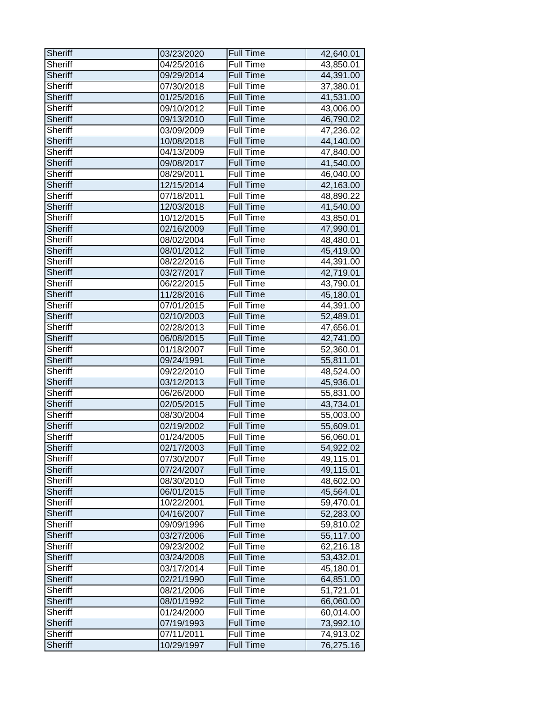| Sheriff        | 03/23/2020 | <b>Full Time</b> | 42,640.01 |
|----------------|------------|------------------|-----------|
| Sheriff        | 04/25/2016 | Full Time        | 43,850.01 |
| <b>Sheriff</b> | 09/29/2014 | <b>Full Time</b> | 44,391.00 |
| <b>Sheriff</b> | 07/30/2018 | <b>Full Time</b> | 37,380.01 |
| <b>Sheriff</b> | 01/25/2016 | <b>Full Time</b> | 41,531.00 |
| Sheriff        | 09/10/2012 | Full Time        | 43,006.00 |
| <b>Sheriff</b> | 09/13/2010 | <b>Full Time</b> | 46,790.02 |
| <b>Sheriff</b> | 03/09/2009 | Full Time        | 47,236.02 |
| <b>Sheriff</b> | 10/08/2018 | Full Time        | 44,140.00 |
| <b>Sheriff</b> | 04/13/2009 | Full Time        | 47,840.00 |
| <b>Sheriff</b> | 09/08/2017 | <b>Full Time</b> | 41,540.00 |
| <b>Sheriff</b> | 08/29/2011 | <b>Full Time</b> | 46,040.00 |
| <b>Sheriff</b> | 12/15/2014 | <b>Full Time</b> | 42,163.00 |
| <b>Sheriff</b> | 07/18/2011 | Full Time        | 48,890.22 |
| <b>Sheriff</b> | 12/03/2018 | <b>Full Time</b> | 41,540.00 |
| <b>Sheriff</b> | 10/12/2015 | <b>Full Time</b> | 43,850.01 |
| <b>Sheriff</b> | 02/16/2009 | <b>Full Time</b> | 47,990.01 |
| <b>Sheriff</b> | 08/02/2004 | <b>Full Time</b> | 48,480.01 |
| Sheriff        | 08/01/2012 | Full Time        | 45,419.00 |
| <b>Sheriff</b> | 08/22/2016 | <b>Full Time</b> | 44,391.00 |
| <b>Sheriff</b> | 03/27/2017 | <b>Full Time</b> | 42,719.01 |
| <b>Sheriff</b> | 06/22/2015 | Full Time        | 43,790.01 |
| <b>Sheriff</b> | 11/28/2016 | <b>Full Time</b> | 45,180.01 |
| <b>Sheriff</b> | 07/01/2015 | <b>Full Time</b> | 44,391.00 |
| <b>Sheriff</b> | 02/10/2003 | <b>Full Time</b> | 52,489.01 |
| <b>Sheriff</b> | 02/28/2013 | Full Time        | 47,656.01 |
| <b>Sheriff</b> | 06/08/2015 | <b>Full Time</b> | 42,741.00 |
| Sheriff        | 01/18/2007 | Full Time        | 52,360.01 |
| <b>Sheriff</b> | 09/24/1991 | <b>Full Time</b> | 55,811.01 |
| <b>Sheriff</b> | 09/22/2010 | Full Time        | 48,524.00 |
| <b>Sheriff</b> | 03/12/2013 | <b>Full Time</b> | 45,936.01 |
| <b>Sheriff</b> | 06/26/2000 | Full Time        | 55,831.00 |
| <b>Sheriff</b> | 02/05/2015 | <b>Full Time</b> | 43,734.01 |
| <b>Sheriff</b> | 08/30/2004 | Full Time        | 55,003.00 |
| <b>Sheriff</b> | 02/19/2002 | <b>Full Time</b> | 55,609.01 |
| Sheriff        | 01/24/2005 | <b>Full Time</b> | 56,060.01 |
| Sheriff        | 02/17/2003 | <b>Full Time</b> | 54,922.02 |
| <b>Sheriff</b> | 07/30/2007 | Full Time        | 49,115.01 |
| <b>Sheriff</b> | 07/24/2007 | <b>Full Time</b> | 49,115.01 |
| Sheriff        | 08/30/2010 | <b>Full Time</b> | 48,602.00 |
| Sheriff        | 06/01/2015 | <b>Full Time</b> | 45,564.01 |
| Sheriff        | 10/22/2001 | <b>Full Time</b> | 59,470.01 |
| <b>Sheriff</b> | 04/16/2007 | <b>Full Time</b> | 52,283.00 |
| <b>Sheriff</b> | 09/09/1996 | Full Time        | 59,810.02 |
| Sheriff        | 03/27/2006 | <b>Full Time</b> | 55,117.00 |
| <b>Sheriff</b> | 09/23/2002 | <b>Full Time</b> | 62,216.18 |
| <b>Sheriff</b> | 03/24/2008 | <b>Full Time</b> | 53,432.01 |
| <b>Sheriff</b> | 03/17/2014 | <b>Full Time</b> | 45,180.01 |
| <b>Sheriff</b> | 02/21/1990 | <b>Full Time</b> | 64,851.00 |
| <b>Sheriff</b> | 08/21/2006 | <b>Full Time</b> | 51,721.01 |
| <b>Sheriff</b> | 08/01/1992 | <b>Full Time</b> | 66,060.00 |
| <b>Sheriff</b> | 01/24/2000 | <b>Full Time</b> | 60,014.00 |
| <b>Sheriff</b> | 07/19/1993 | <b>Full Time</b> | 73,992.10 |
| <b>Sheriff</b> | 07/11/2011 | Full Time        | 74,913.02 |
| Sheriff        | 10/29/1997 | <b>Full Time</b> | 76,275.16 |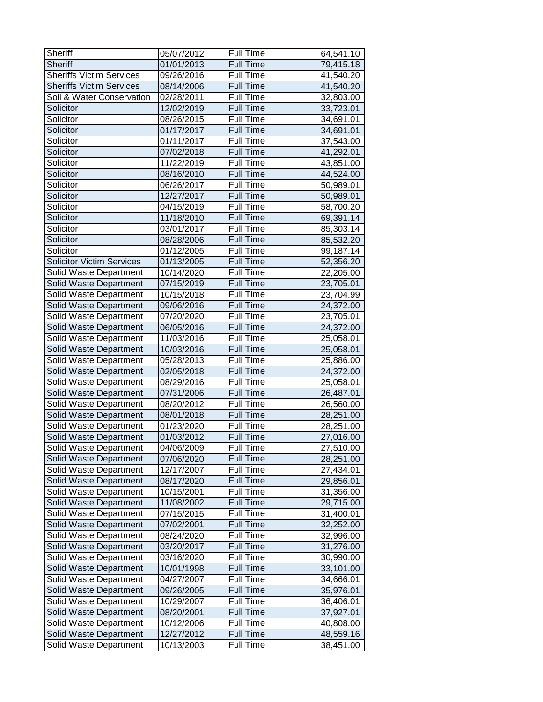| Sheriff                          | 05/07/2012 | <b>Full Time</b> | 64,541.10 |
|----------------------------------|------------|------------------|-----------|
| <b>Sheriff</b>                   | 01/01/2013 | <b>Full Time</b> | 79,415.18 |
| <b>Sheriffs Victim Services</b>  | 09/26/2016 | <b>Full Time</b> | 41,540.20 |
| <b>Sheriffs Victim Services</b>  | 08/14/2006 | <b>Full Time</b> | 41,540.20 |
| Soil & Water Conservation        | 02/28/2011 | <b>Full Time</b> | 32,803.00 |
| Solicitor                        | 12/02/2019 | Full Time        | 33,723.01 |
| Solicitor                        | 08/26/2015 | <b>Full Time</b> | 34,691.01 |
| Solicitor                        | 01/17/2017 | <b>Full Time</b> | 34,691.01 |
| Solicitor                        | 01/11/2017 | <b>Full Time</b> | 37,543.00 |
| Solicitor                        | 07/02/2018 | Full Time        | 41,292.01 |
| Solicitor                        | 11/22/2019 | <b>Full Time</b> | 43,851.00 |
| Solicitor                        | 08/16/2010 | <b>Full Time</b> | 44,524.00 |
| Solicitor                        | 06/26/2017 | <b>Full Time</b> | 50,989.01 |
| Solicitor                        | 12/27/2017 | <b>Full Time</b> | 50,989.01 |
| Solicitor                        | 04/15/2019 | <b>Full Time</b> | 58,700.20 |
| Solicitor                        | 11/18/2010 | <b>Full Time</b> | 69,391.14 |
| Solicitor                        | 03/01/2017 | Full Time        | 85,303.14 |
| Solicitor                        | 08/28/2006 | <b>Full Time</b> | 85,532.20 |
| Solicitor                        | 01/12/2005 | <b>Full Time</b> | 99,187.14 |
| <b>Solicitor Victim Services</b> | 01/13/2005 | <b>Full Time</b> | 52,356.20 |
| Solid Waste Department           | 10/14/2020 | <b>Full Time</b> | 22,205.00 |
| Solid Waste Department           | 07/15/2019 | <b>Full Time</b> | 23,705.01 |
| Solid Waste Department           | 10/15/2018 | <b>Full Time</b> | 23,704.99 |
| Solid Waste Department           | 09/06/2016 | <b>Full Time</b> | 24,372.00 |
| Solid Waste Department           | 07/20/2020 | <b>Full Time</b> | 23,705.01 |
| Solid Waste Department           | 06/05/2016 | Full Time        | 24,372.00 |
| Solid Waste Department           | 11/03/2016 | <b>Full Time</b> | 25,058.01 |
| <b>Solid Waste Department</b>    | 10/03/2016 | <b>Full Time</b> | 25,058.01 |
| Solid Waste Department           | 05/28/2013 | <b>Full Time</b> | 25,886.00 |
| Solid Waste Department           | 02/05/2018 | <b>Full Time</b> | 24,372.00 |
| Solid Waste Department           | 08/29/2016 | <b>Full Time</b> | 25,058.01 |
| Solid Waste Department           | 07/31/2006 | <b>Full Time</b> | 26,487.01 |
| Solid Waste Department           | 08/20/2012 | <b>Full Time</b> | 26,560.00 |
| Solid Waste Department           | 08/01/2018 | <b>Full Time</b> | 28,251.00 |
| Solid Waste Department           | 01/23/2020 | <b>Full Time</b> | 28,251.00 |
| Solid Waste Department           | 01/03/2012 | <b>Full Time</b> | 27,016.00 |
| Solid Waste Department           | 04/06/2009 | Full Time        | 27,510.00 |
| Solid Waste Department           | 07/06/2020 | Full Time        | 28,251.00 |
| Solid Waste Department           | 12/17/2007 | Full Time        | 27,434.01 |
| Solid Waste Department           | 08/17/2020 | <b>Full Time</b> | 29,856.01 |
| Solid Waste Department           | 10/15/2001 | Full Time        | 31,356.00 |
| Solid Waste Department           | 11/08/2002 | <b>Full Time</b> | 29,715.00 |
| Solid Waste Department           | 07/15/2015 | Full Time        | 31,400.01 |
| Solid Waste Department           | 07/02/2001 | Full Time        | 32,252.00 |
| Solid Waste Department           | 08/24/2020 | <b>Full Time</b> | 32,996.00 |
| Solid Waste Department           | 03/20/2017 | <b>Full Time</b> | 31,276.00 |
| Solid Waste Department           | 03/16/2020 | Full Time        | 30,990.00 |
| Solid Waste Department           | 10/01/1998 | <b>Full Time</b> | 33,101.00 |
| Solid Waste Department           | 04/27/2007 | Full Time        | 34,666.01 |
| Solid Waste Department           | 09/26/2005 | <b>Full Time</b> | 35,976.01 |
| Solid Waste Department           | 10/29/2007 | <b>Full Time</b> | 36,406.01 |
| Solid Waste Department           | 08/20/2001 | <b>Full Time</b> | 37,927.01 |
| Solid Waste Department           | 10/12/2006 | Full Time        | 40,808.00 |
| Solid Waste Department           | 12/27/2012 | <b>Full Time</b> | 48,559.16 |
| Solid Waste Department           | 10/13/2003 | Full Time        | 38,451.00 |